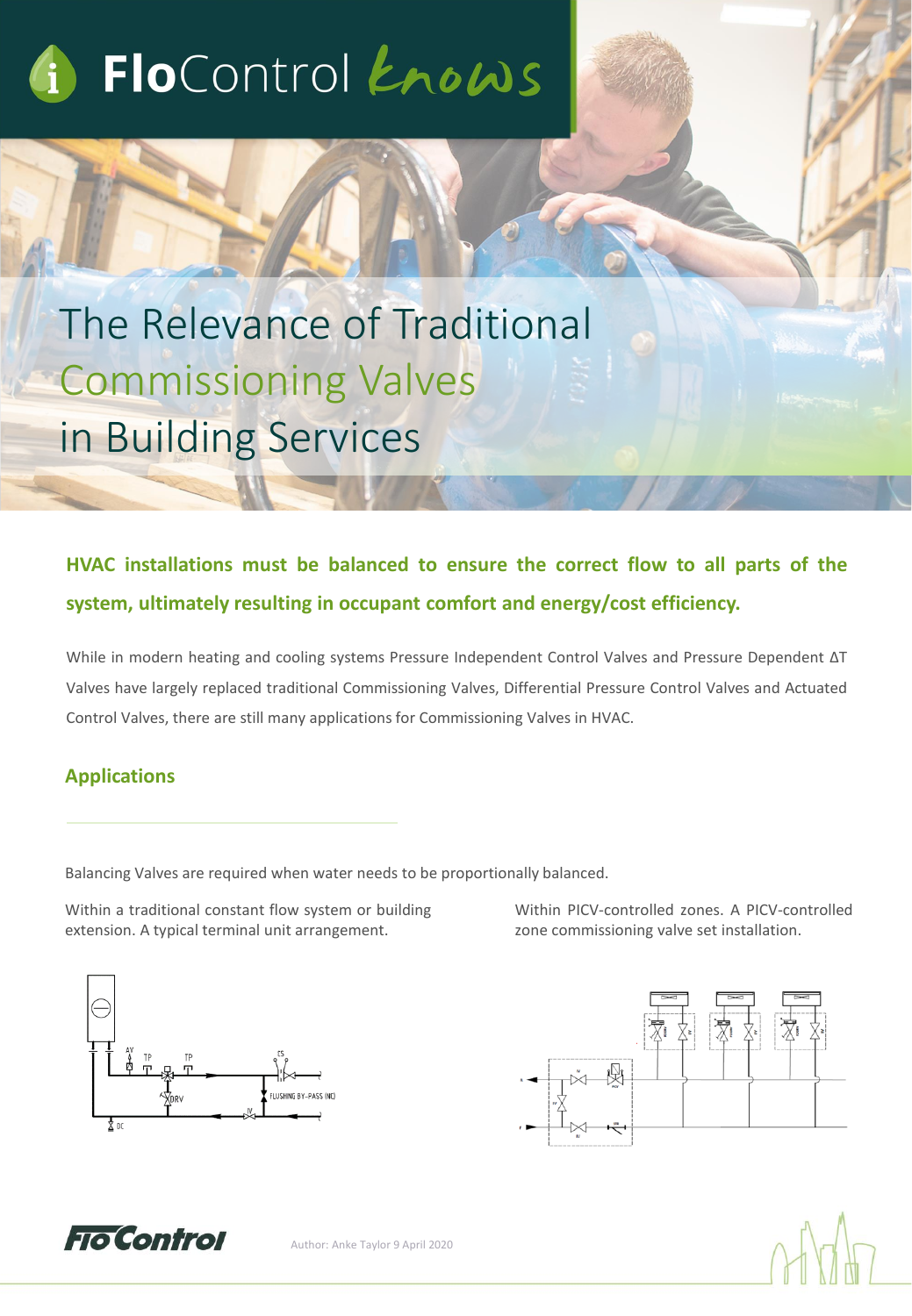# FloControl Knows

The Relevance of Traditional Commissioning Valves in Building Services

## **HVAC installations must be balanced to ensure the correct flow to all parts of the system, ultimately resulting in occupant comfort and energy/cost efficiency.**

While in modern heating and cooling systems Pressure Independent Control Valves and Pressure Dependent ΔT Valves have largely replaced traditional Commissioning Valves, Differential Pressure Control Valves and Actuated Control Valves, there are still many applications for Commissioning Valves in HVAC.

### **Applications**

Balancing Valves are required when water needs to be proportionally balanced.

Within a traditional constant flow system or building extension. A typical terminal unit arrangement.

Within PICV-controlled zones. A PICV-controlled zone commissioning valve set installation.







Author: Anke Taylor 9 April 2020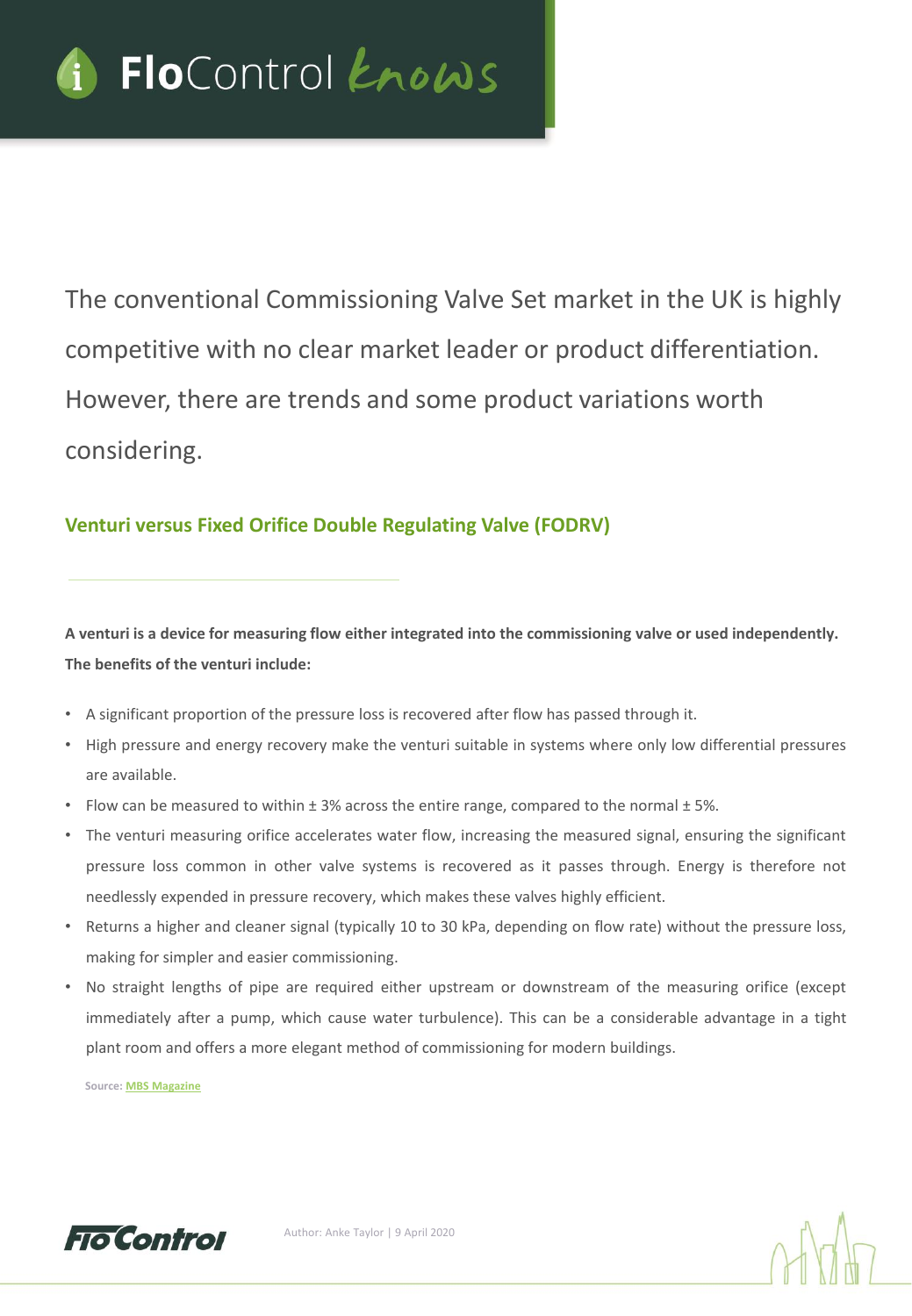

The conventional Commissioning Valve Set market in the UK is highly competitive with no clear market leader or product differentiation. However, there are trends and some product variations worth considering.

### **Venturi versus Fixed Orifice Double Regulating Valve (FODRV)**

**A venturi is a device for measuring flow either integrated into the commissioning valve or used independently. The benefits of the venturi include:** 

- A significant proportion of the pressure loss is recovered after flow has passed through it.
- High pressure and energy recovery make the venturi suitable in systems where only low differential pressures are available.
- Flow can be measured to within ± 3% across the entire range, compared to the normal ± 5%.
- The venturi measuring orifice accelerates water flow, increasing the measured signal, ensuring the significant pressure loss common in other valve systems is recovered as it passes through. Energy is therefore not needlessly expended in pressure recovery, which makes these valves highly efficient.
- Returns a higher and cleaner signal (typically 10 to 30 kPa, depending on flow rate) without the pressure loss, making for simpler and easier commissioning.
- No straight lengths of pipe are required either upstream or downstream of the measuring orifice (except immediately after a pump, which cause water turbulence). This can be a considerable advantage in a tight plant room and offers a more elegant method of commissioning for modern buildings.

**Source: MBS [Magazine](https://modbs.co.uk/news/archivestory.php/aid/7007/Effective_commissioning_is_no__longer_in_the_balance.html)**



Author: Anke Taylor | 9 April 2020